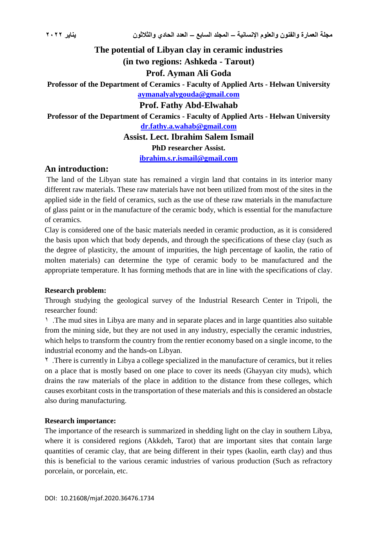**The potential of Libyan clay in ceramic industries (in two regions: Ashkeda - Tarout) Prof. Ayman Ali Goda Professor of the Department of Ceramics - Faculty of Applied Arts - Helwan University [aymanalyalygouda@gmail.com](mailto:aymanalyalygouda@gmail.com) Prof. Fathy Abd-Elwahab Professor of the Department of Ceramics - Faculty of Applied Arts - Helwan University [dr.fathy.a.wahab@gmail.com](mailto:dr.fathy.a.wahab@gmail.com) Assist. Lect. Ibrahim Salem Ismail PhD researcher Assist.**

**[ibrahim.s.r.ismail@gmail.com](mailto:ibrahim.s.r.ismail@gmail.com)**

#### **An introduction:**

The land of the Libyan state has remained a virgin land that contains in its interior many different raw materials. These raw materials have not been utilized from most of the sites in the applied side in the field of ceramics, such as the use of these raw materials in the manufacture of glass paint or in the manufacture of the ceramic body, which is essential for the manufacture of ceramics.

Clay is considered one of the basic materials needed in ceramic production, as it is considered the basis upon which that body depends, and through the specifications of these clay (such as the degree of plasticity, the amount of impurities, the high percentage of kaolin, the ratio of molten materials) can determine the type of ceramic body to be manufactured and the appropriate temperature. It has forming methods that are in line with the specifications of clay.

#### **Research problem:**

Through studying the geological survey of the Industrial Research Center in Tripoli, the researcher found:

1 .The mud sites in Libya are many and in separate places and in large quantities also suitable from the mining side, but they are not used in any industry, especially the ceramic industries, which helps to transform the country from the rentier economy based on a single income, to the industrial economy and the hands-on Libyan.

<sup>1</sup> .There is currently in Libya a college specialized in the manufacture of ceramics, but it relies on a place that is mostly based on one place to cover its needs (Ghayyan city muds), which drains the raw materials of the place in addition to the distance from these colleges, which causes exorbitant costs in the transportation of these materials and this is considered an obstacle also during manufacturing.

#### **Research importance:**

The importance of the research is summarized in shedding light on the clay in southern Libya, where it is considered regions (Akkdeh, Tarot) that are important sites that contain large quantities of ceramic clay, that are being different in their types (kaolin, earth clay) and thus this is beneficial to the various ceramic industries of various production (Such as refractory porcelain, or porcelain, etc.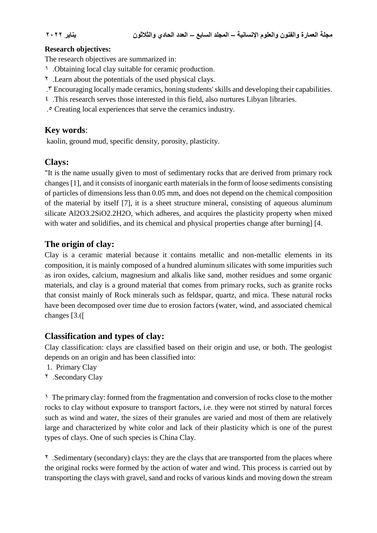#### **Research objectives:**

The research objectives are summarized in:

- 1 .Obtaining local clay suitable for ceramic production.
- 2 .Learn about the potentials of the used physical clays.
- .3 Encouraging locally made ceramics, honing students' skills and developing their capabilities.
- 4 .This research serves those interested in this field, also nurtures Libyan libraries.
- .5 Creating local experiences that serve the ceramics industry.

### **Key words**:

kaolin, ground mud, specific density, porosity, plasticity.

### **Clays:**

"It is the name usually given to most of sedimentary rocks that are derived from primary rock changes [1], and it consists of inorganic earth materials in the form of loose sediments consisting of particles of dimensions less than 0.05 mm, and does not depend on the chemical composition of the material by itself [7], it is a sheet structure mineral, consisting of aqueous aluminum silicate Al2O3.2SiO2.2H2O, which adheres, and acquires the plasticity property when mixed with water and solidifies, and its chemical and physical properties change after burning] [4.

# **The origin of clay:**

Clay is a ceramic material because it contains metallic and non-metallic elements in its composition, it is mainly composed of a hundred aluminum silicates with some impurities such as iron oxides, calcium, magnesium and alkalis like sand, mother residues and some organic materials, and clay is a ground material that comes from primary rocks, such as granite rocks that consist mainly of Rock minerals such as feldspar, quartz, and mica. These natural rocks have been decomposed over time due to erosion factors (water, wind, and associated chemical changes  $[3.0]$ 

### **Classification and types of clay:**

Clay classification: clays are classified based on their origin and use, or both. The geologist depends on an origin and has been classified into:

- 1. Primary Clay
- 2 .Secondary Clay

1 The primary clay: formed from the fragmentation and conversion of rocks close to the mother rocks to clay without exposure to transport factors, i.e. they were not stirred by natural forces such as wind and water, the sizes of their granules are varied and most of them are relatively large and characterized by white color and lack of their plasticity which is one of the purest types of clays. One of such species is China Clay.

<sup>1</sup> .Sedimentary (secondary) clays: they are the clays that are transported from the places where the original rocks were formed by the action of water and wind. This process is carried out by transporting the clays with gravel, sand and rocks of various kinds and moving down the stream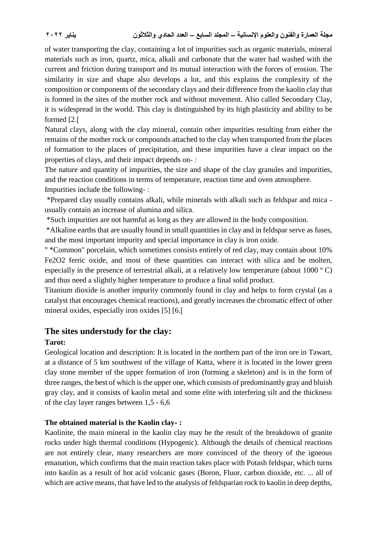of water transporting the clay, containing a lot of impurities such as organic materials, mineral materials such as iron, quartz, mica, alkali and carbonate that the water had washed with the current and friction during transport and its mutual interaction with the forces of erosion. The similarity in size and shape also develops a lot, and this explains the complexity of the composition or components of the secondary clays and their difference from the kaolin clay that is formed in the sites of the mother rock and without movement. Also called Secondary Clay, it is widespread in the world. This clay is distinguished by its high plasticity and ability to be formed [2.]

Natural clays, along with the clay mineral, contain other impurities resulting from either the remains of the mother rock or compounds attached to the clay when transported from the places of formation to the places of precipitation, and these impurities have a clear impact on the properties of clays, and their impact depends on- :

The nature and quantity of impurities, the size and shape of the clay granules and impurities, and the reaction conditions in terms of temperature, reaction time and oven atmosphere. Impurities include the following- :

 \*Prepared clay usually contains alkali, while minerals with alkali such as feldspar and mica usually contain an increase of alumina and silica.

\*Such impurities are not harmful as long as they are allowed in the body composition.

 \*Alkaline earths that are usually found in small quantities in clay and in feldspar serve as fuses, and the most important impurity and special importance in clay is iron oxide.

" \*Common" porcelain, which sometimes consists entirely of red clay, may contain about 10% Fe2O2 ferric oxide, and most of these quantities can interact with silica and be molten, especially in the presence of terrestrial alkali, at a relatively low temperature (about 1000 º C) and thus need a slightly higher temperature to produce a final solid product.

Titanium dioxide is another impurity commonly found in clay and helps to form crystal (as a catalyst that encourages chemical reactions), and greatly increases the chromatic effect of other mineral oxides, especially iron oxides [5] [6.]

# **The sites understudy for the clay:**

# **Tarot:**

Geological location and description: It is located in the northern part of the iron ore in Tawart, at a distance of 5 km southwest of the village of Katta, where it is located in the lower green clay stone member of the upper formation of iron (forming a skeleton) and is in the form of three ranges, the best of which is the upper one, which consists of predominantly gray and bluish gray clay, and it consists of kaolin metal and some elite with interfering silt and the thickness of the clay layer ranges between 1,5 - 6,6

### **The obtained material is the Kaolin clay- :**

Kaolinite, the main mineral in the kaolin clay may be the result of the breakdown of granite rocks under high thermal conditions (Hypogenic). Although the details of chemical reactions are not entirely clear, many researchers are more convinced of the theory of the igneous emanation, which confirms that the main reaction takes place with Potash feldspar, which turns into kaolin as a result of hot acid volcanic gases (Boron, Fluor, carbon dioxide, etc. ... all of which are active means, that have led to the analysis of feldsparian rock to kaolin in deep depths,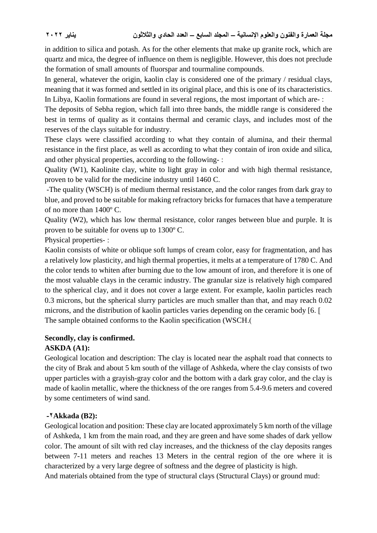in addition to silica and potash. As for the other elements that make up granite rock, which are quartz and mica, the degree of influence on them is negligible. However, this does not preclude the formation of small amounts of fluorspar and tourmaline compounds.

In general, whatever the origin, kaolin clay is considered one of the primary / residual clays, meaning that it was formed and settled in its original place, and this is one of its characteristics. In Libya, Kaolin formations are found in several regions, the most important of which are- :

The deposits of Sebha region, which fall into three bands, the middle range is considered the best in terms of quality as it contains thermal and ceramic clays, and includes most of the reserves of the clays suitable for industry.

These clays were classified according to what they contain of alumina, and their thermal resistance in the first place, as well as according to what they contain of iron oxide and silica, and other physical properties, according to the following- :

Quality (W1), Kaolinite clay, white to light gray in color and with high thermal resistance, proven to be valid for the medicine industry until 1460 C.

-The quality (WSCH) is of medium thermal resistance, and the color ranges from dark gray to blue, and proved to be suitable for making refractory bricks for furnaces that have a temperature of no more than 1400º C.

Quality (W2), which has low thermal resistance, color ranges between blue and purple. It is proven to be suitable for ovens up to 1300º C.

Physical properties- :

Kaolin consists of white or oblique soft lumps of cream color, easy for fragmentation, and has a relatively low plasticity, and high thermal properties, it melts at a temperature of 1780 C. And the color tends to whiten after burning due to the low amount of iron, and therefore it is one of the most valuable clays in the ceramic industry. The granular size is relatively high compared to the spherical clay, and it does not cover a large extent. For example, kaolin particles reach 0.3 microns, but the spherical slurry particles are much smaller than that, and may reach 0.02 microns, and the distribution of kaolin particles varies depending on the ceramic body [6. ] The sample obtained conforms to the Kaolin specification (WSCH.)

### **Secondly, clay is confirmed.**

### **ASKDA (A1):**

Geological location and description: The clay is located near the asphalt road that connects to the city of Brak and about 5 km south of the village of Ashkeda, where the clay consists of two upper particles with a grayish-gray color and the bottom with a dark gray color, and the clay is made of kaolin metallic, where the thickness of the ore ranges from 5.4-9.6 meters and covered by some centimeters of wind sand.

#### **-2Akkada (B2):**

Geological location and position: These clay are located approximately 5 km north of the village of Ashkeda, 1 km from the main road, and they are green and have some shades of dark yellow color. The amount of silt with red clay increases, and the thickness of the clay deposits ranges between 7-11 meters and reaches 13 Meters in the central region of the ore where it is characterized by a very large degree of softness and the degree of plasticity is high.

And materials obtained from the type of structural clays (Structural Clays) or ground mud: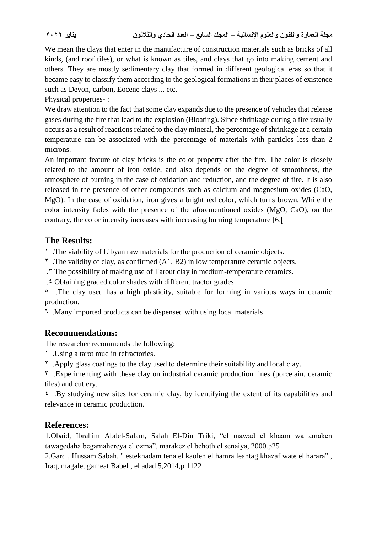We mean the clays that enter in the manufacture of construction materials such as bricks of all kinds, (and roof tiles), or what is known as tiles, and clays that go into making cement and others. They are mostly sedimentary clay that formed in different geological eras so that it became easy to classify them according to the geological formations in their places of existence such as Devon, carbon, Eocene clays ... etc.

Physical properties- :

We draw attention to the fact that some clay expands due to the presence of vehicles that release gases during the fire that lead to the explosion (Bloating). Since shrinkage during a fire usually occurs as a result of reactions related to the clay mineral, the percentage of shrinkage at a certain temperature can be associated with the percentage of materials with particles less than 2 microns.

An important feature of clay bricks is the color property after the fire. The color is closely related to the amount of iron oxide, and also depends on the degree of smoothness, the atmosphere of burning in the case of oxidation and reduction, and the degree of fire. It is also released in the presence of other compounds such as calcium and magnesium oxides (CaO, MgO). In the case of oxidation, iron gives a bright red color, which turns brown. While the color intensity fades with the presence of the aforementioned oxides (MgO, CaO), on the contrary, the color intensity increases with increasing burning temperature [6.]

### **The Results:**

1 .The viability of Libyan raw materials for the production of ceramic objects.

<sup> $\gamma$ </sup>. The validity of clay, as confirmed (A1, B2) in low temperature ceramic objects.

.3 The possibility of making use of Tarout clay in medium-temperature ceramics.

.4 Obtaining graded color shades with different tractor grades.

<sup>o</sup>. The clay used has a high plasticity, suitable for forming in various ways in ceramic production.

6 .Many imported products can be dispensed with using local materials.

# **Recommendations:**

The researcher recommends the following:

1 .Using a tarot mud in refractories.

2 .Apply glass coatings to the clay used to determine their suitability and local clay.

 $\sigma$ . Experimenting with these clay on industrial ceramic production lines (porcelain, ceramic tiles) and cutlery.

 $\epsilon$ . By studying new sites for ceramic clay, by identifying the extent of its capabilities and relevance in ceramic production.

# **References:**

1.Obaid, Ibrahim Abdel-Salam, Salah El-Din Triki, "el mawad el khaam wa amaken tawagedaha begamahereya el ozma", marakez el behoth el senaiya, 2000.p25

2.Gard , Hussam Sabah, " estekhadam tena el kaolen el hamra leantag khazaf wate el harara" , Iraq, magalet gameat Babel , el adad 5,2014,p 1122